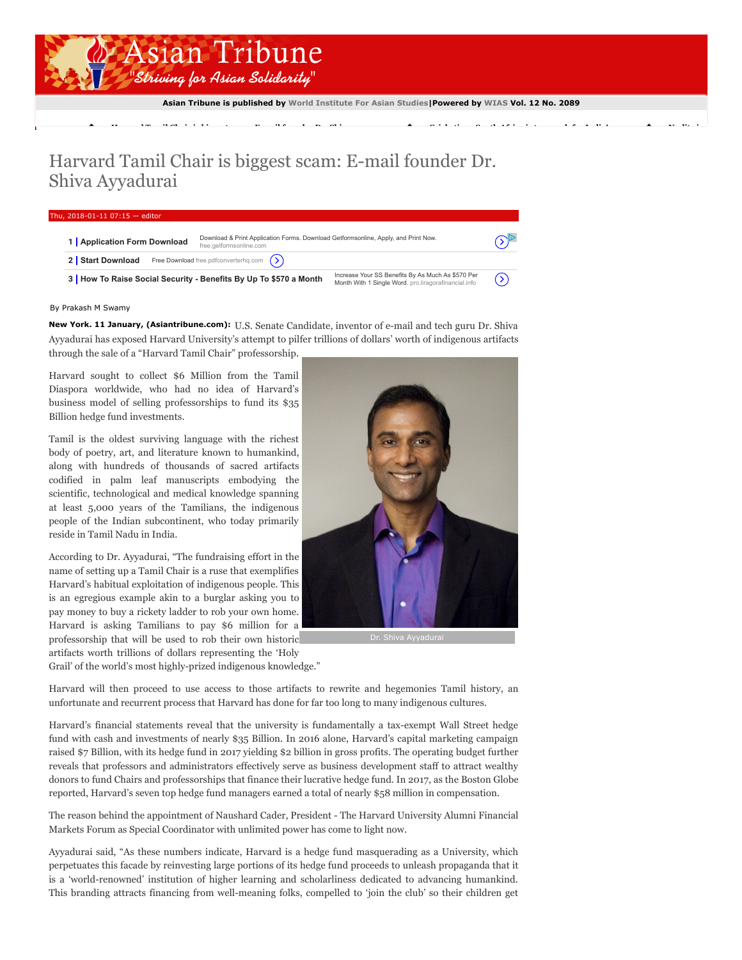

Asian Tribune is published by [World Institute For Asian Studies|](http://www.worldinstituteforasianstudies.org/)Powered by [WIAS](http://www.worldinstituteforasianstudies.org/) Vol. 12 No. 2089

[ng](http://www.asiantribune.com/node/91469) Harvard Tamil Chair is biggest scame: E-mail founder Dr. Shiva... Cricketism: South Africa is not India...<br>India

## Harvard Tamil Chair is biggest scam: E-mail founder Dr. Shiva Ayyadurai

## Thu,  $2018 - 01 - 1107:15 - e$

| 1 Application Form Download                                                                                                                                                   | Download & Print Application Forms. Download Getformsonline, Apply, and Print Now.<br>free.getformsonline.com |                             |  |
|-------------------------------------------------------------------------------------------------------------------------------------------------------------------------------|---------------------------------------------------------------------------------------------------------------|-----------------------------|--|
| <b>Free Download</b> free pdfconverterhq.com $(>)$<br>2 Start Download                                                                                                        |                                                                                                               |                             |  |
| Increase Your SS Benefits By As Much As \$570 Per<br>3 How To Raise Social Security - Benefits By Up To \$570 a Month<br>Month With 1 Single Word. pro.liragorafinancial.info |                                                                                                               | $\left( \mathcal{D}\right)$ |  |

## By Prakash M Swamy

New York. 11 January, (Asiantribune.com): U.S. Senate Candidate, inventor of e-mail and tech guru Dr. Shiva Ayyadurai has exposed Harvard University's attempt to pilfer trillions of dollars' worth of indigenous artifacts through the sale of a "Harvard Tamil Chair" professorship.

Harvard sought to collect \$6 Million from the Tamil Diaspora worldwide, who had no idea of Harvard's business model of selling professorships to fund its \$35 Billion hedge fund investments.

Tamil is the oldest surviving language with the richest body of poetry, art, and literature known to humankind, along with hundreds of thousands of sacred artifacts codified in palm leaf manuscripts embodying the scientific, technological and medical knowledge spanning at least 5,000 years of the Tamilians, the indigenous people of the Indian subcontinent, who today primarily reside in Tamil Nadu in India.

According to Dr. Ayyadurai, "The fundraising effort in the name of setting up a Tamil Chair is a ruse that exemplifies Harvard's habitual exploitation of indigenous people. This is an egregious example akin to a burglar asking you to pay money to buy a rickety ladder to rob your own home. Harvard is asking Tamilians to pay \$6 million for a professorship that will be used to rob their own historic artifacts worth trillions of dollars representing the 'Holy

Grail' of the world's most highly-prized indigenous knowledge."



Dr. Shiva Avyadura

Harvard will then proceed to use access to those artifacts to rewrite and hegemonies Tamil history, an unfortunate and recurrent process that Harvard has done for far too long to many indigenous cultures.

Harvard's financial statements reveal that the university is fundamentally a tax-exempt Wall Street hedge fund with cash and investments of nearly \$35 Billion. In 2016 alone, Harvard's capital marketing campaign raised \$7 Billion, with its hedge fund in 2017 yielding \$2 billion in gross profits. The operating budget further reveals that professors and administrators effectively serve as business development staff to attract wealthy donors to fund Chairs and professorships that finance their lucrative hedge fund. In 2017, as the Boston Globe reported, Harvard's seven top hedge fund managers earned a total of nearly \$58 million in compensation.

The reason behind the appointment of Naushard Cader, President - The Harvard University Alumni Financial Markets Forum as Special Coordinator with unlimited power has come to light now.

Ayyadurai said, "As these numbers indicate, Harvard is a hedge fund masquerading as a University, which perpetuates this facade by reinvesting large portions of its hedge fund proceeds to unleash propaganda that it is a 'world-renowned' institution of higher learning and scholarliness dedicated to advancing humankind. This branding attracts financing from well-meaning folks, compelled to 'join the club' so their children get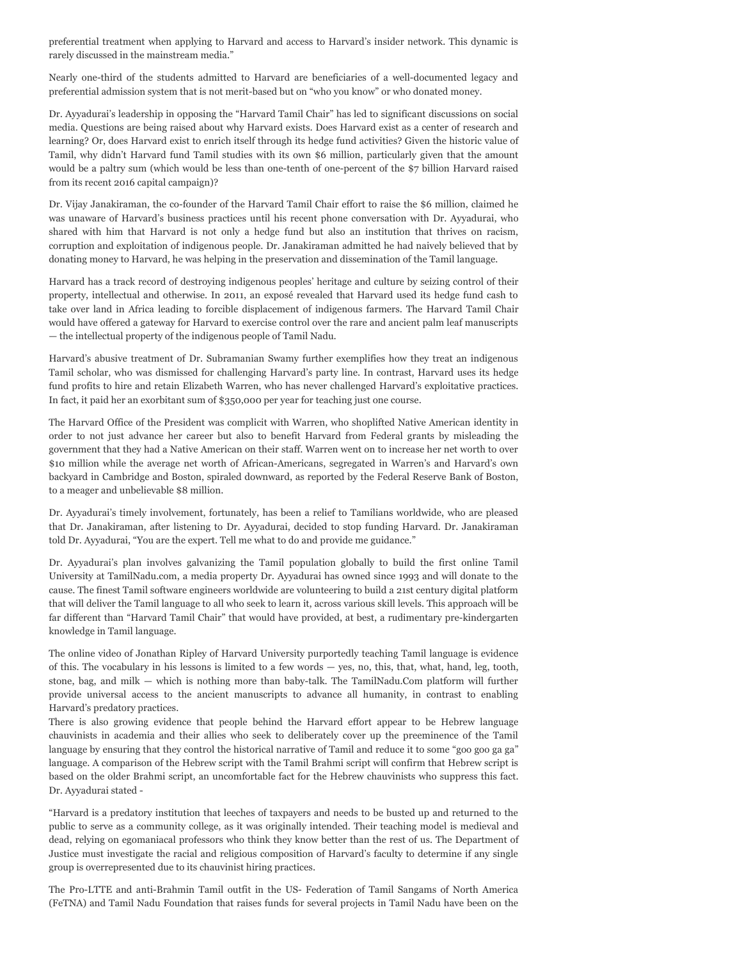preferential treatment when applying to Harvard and access to Harvard's insider network. This dynamic is rarely discussed in the mainstream media."

Nearly one-third of the students admitted to Harvard are beneficiaries of a well-documented legacy and preferential admission system that is not merit-based but on "who you know" or who donated money.

Dr. Ayyadurai's leadership in opposing the "Harvard Tamil Chair" has led to significant discussions on social media. Questions are being raised about why Harvard exists. Does Harvard exist as a center of research and learning? Or, does Harvard exist to enrich itself through its hedge fund activities? Given the historic value of Tamil, why didn't Harvard fund Tamil studies with its own \$6 million, particularly given that the amount would be a paltry sum (which would be less than one-tenth of one-percent of the \$7 billion Harvard raised from its recent 2016 capital campaign)?

Dr. Vijay Janakiraman, the co-founder of the Harvard Tamil Chair effort to raise the \$6 million, claimed he was unaware of Harvard's business practices until his recent phone conversation with Dr. Ayyadurai, who shared with him that Harvard is not only a hedge fund but also an institution that thrives on racism, corruption and exploitation of indigenous people. Dr. Janakiraman admitted he had naively believed that by donating money to Harvard, he was helping in the preservation and dissemination of the Tamil language.

Harvard has a track record of destroying indigenous peoples' heritage and culture by seizing control of their property, intellectual and otherwise. In 2011, an exposé revealed that Harvard used its hedge fund cash to take over land in Africa leading to forcible displacement of indigenous farmers. The Harvard Tamil Chair would have offered a gateway for Harvard to exercise control over the rare and ancient palm leaf manuscripts — the intellectual property of the indigenous people of Tamil Nadu.

Harvard's abusive treatment of Dr. Subramanian Swamy further exemplifies how they treat an indigenous Tamil scholar, who was dismissed for challenging Harvard's party line. In contrast, Harvard uses its hedge fund profits to hire and retain Elizabeth Warren, who has never challenged Harvard's exploitative practices. In fact, it paid her an exorbitant sum of \$350,000 per year for teaching just one course.

The Harvard Office of the President was complicit with Warren, who shoplifted Native American identity in order to not just advance her career but also to benefit Harvard from Federal grants by misleading the government that they had a Native American on their staff. Warren went on to increase her net worth to over \$10 million while the average net worth of African-Americans, segregated in Warren's and Harvard's own backyard in Cambridge and Boston, spiraled downward, as reported by the Federal Reserve Bank of Boston, to a meager and unbelievable \$8 million.

Dr. Ayyadurai's timely involvement, fortunately, has been a relief to Tamilians worldwide, who are pleased that Dr. Janakiraman, after listening to Dr. Ayyadurai, decided to stop funding Harvard. Dr. Janakiraman told Dr. Ayyadurai, "You are the expert. Tell me what to do and provide me guidance."

Dr. Ayyadurai's plan involves galvanizing the Tamil population globally to build the first online Tamil University at TamilNadu.com, a media property Dr. Ayyadurai has owned since 1993 and will donate to the cause. The finest Tamil software engineers worldwide are volunteering to build a 21st century digital platform that will deliver the Tamil language to all who seek to learn it, across various skill levels. This approach will be far different than "Harvard Tamil Chair" that would have provided, at best, a rudimentary pre-kindergarten knowledge in Tamil language.

The online video of Jonathan Ripley of Harvard University purportedly teaching Tamil language is evidence of this. The vocabulary in his lessons is limited to a few words — yes, no, this, that, what, hand, leg, tooth, stone, bag, and milk — which is nothing more than baby-talk. The TamilNadu.Com platform will further provide universal access to the ancient manuscripts to advance all humanity, in contrast to enabling Harvard's predatory practices.

There is also growing evidence that people behind the Harvard effort appear to be Hebrew language chauvinists in academia and their allies who seek to deliberately cover up the preeminence of the Tamil language by ensuring that they control the historical narrative of Tamil and reduce it to some "goo goo ga ga" language. A comparison of the Hebrew script with the Tamil Brahmi script will confirm that Hebrew script is based on the older Brahmi script, an uncomfortable fact for the Hebrew chauvinists who suppress this fact. Dr. Ayyadurai stated -

"Harvard is a predatory institution that leeches of taxpayers and needs to be busted up and returned to the public to serve as a community college, as it was originally intended. Their teaching model is medieval and dead, relying on egomaniacal professors who think they know better than the rest of us. The Department of Justice must investigate the racial and religious composition of Harvard's faculty to determine if any single group is overrepresented due to its chauvinist hiring practices.

The Pro-LTTE and anti-Brahmin Tamil outfit in the US- Federation of Tamil Sangams of North America (FeTNA) and Tamil Nadu Foundation that raises funds for several projects in Tamil Nadu have been on the